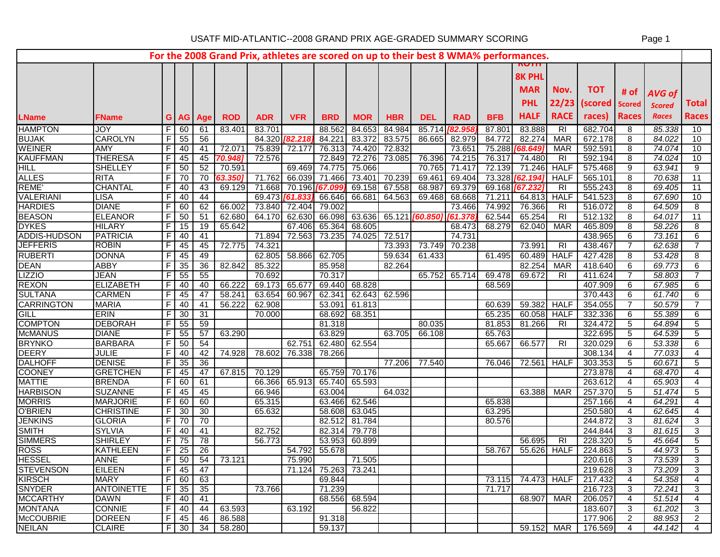|                       |                               |                |                 |                      |                   |                     |                          |                      |               |                                |                        |                  |            | For the 2008 Grand Prix, athletes are scored on up to their best 8 WMA% performances. |                          |                    |                |                        |                 |
|-----------------------|-------------------------------|----------------|-----------------|----------------------|-------------------|---------------------|--------------------------|----------------------|---------------|--------------------------------|------------------------|------------------|------------|---------------------------------------------------------------------------------------|--------------------------|--------------------|----------------|------------------------|-----------------|
|                       |                               |                |                 |                      |                   |                     |                          |                      |               |                                |                        |                  |            |                                                                                       |                          |                    |                |                        |                 |
|                       |                               |                |                 |                      |                   |                     |                          |                      |               |                                |                        |                  |            | <b>8K PHL</b>                                                                         |                          |                    |                |                        |                 |
|                       |                               |                |                 |                      |                   |                     |                          |                      |               |                                |                        |                  |            | <b>MAR</b>                                                                            | Nov.                     | <b>TOT</b>         | # of           |                        |                 |
|                       |                               |                |                 |                      |                   |                     |                          |                      |               |                                |                        |                  |            | <b>PHL</b>                                                                            |                          | 22/23 (scored      | <b>Scored</b>  | <b>AVG of</b>          | <b>Total</b>    |
|                       |                               |                |                 |                      |                   |                     |                          |                      |               |                                |                        |                  |            | <b>HALF</b>                                                                           | <b>RACE</b>              | races)             | <b>Races</b>   | <b>Scored</b><br>Races | <b>Races</b>    |
| <b>LName</b>          | <b>FName</b>                  |                |                 | G   AG   Age         | <b>ROD</b>        | <b>ADR</b>          | <b>VFR</b>               | <b>BRD</b>           | <b>MOR</b>    | <b>HBR</b>                     | <b>DEL</b>             | <b>RAD</b>       | <b>BFB</b> |                                                                                       |                          |                    |                |                        |                 |
| <b>HAMPTON</b>        | JOY                           |                | F 60            | 61                   | 83.401            | 83.701              |                          | 88.562               | 84.653        | 84.984                         | 85.714                 | 182.95           | 87.801     | 83.888                                                                                | $\overline{R}$           | 682.704            | 8              | 85.338                 | 10              |
| <b>BUJAK</b>          | <b>CAROLYN</b>                |                | $F$ 55          | 56                   |                   | 84.320 <b>82.21</b> |                          | 84.221               | 83.372        | 83.575                         | 86.665                 | 82.979           | 84.772     | 82.274                                                                                | <b>MAR</b>               | 672.178            | 8              | 84.022                 | 10              |
| <b>WEINER</b>         | AMY                           | F I            | 40              | 41                   | 72.071            | 75.839              | 72.177                   | 76.313               | 74.420        | 72.832                         |                        | 73.651           |            | 75.288 [68.649]                                                                       | <b>MAR</b>               | 592.591            | 8              | 74.074                 | 10              |
| <b>KAUFFMAN</b>       | <b>THERESA</b>                | FI             | 45              | 45                   | 70.948)           | 72.576              |                          | 72.849               | 72.276        | 73.085                         | 76.396                 | 74.215           | 76.317     | 74.480                                                                                | R <sub>l</sub>           | 592.194            | 8              | 74.024                 | 10              |
| HILL                  | <b>SHELLEY</b>                | F I            | 50 <sup>1</sup> | 52                   | 70.591            | 71.762              | 69.469                   | 74.775               | 75.066        |                                | 70.765                 | 71.417           | 72.139     | 71.246                                                                                | <b>HALF</b>              | 575.468            | 9              | 63.941                 | 9               |
| <b>ALLES</b><br>REME' | <b>RITA</b><br><b>CHANTAL</b> | FI<br>F        | 70<br>40        | 70<br>43             | 63.350)<br>69.129 | 71.668              | 66.039<br>70.196 [67.099 | 71.466               | 73.401        | 70.239                         | 69.461<br>68.987       | 69.404<br>69.379 |            | 73.328 [62.194]                                                                       | <b>HALF</b><br><b>RI</b> | 565.101<br>555.243 | 8<br>8         | 70.638<br>69.405       | 11<br>11        |
| <b>VALERIANI</b>      | <b>LISA</b>                   | $F \mid$       | 40              | 44                   |                   |                     | 69.473 761.833           | 66.646               |               | 69.158 67.558<br>66.681 64.563 | 69.468                 | 68.668           | 71.211     | 69.168 [67.232<br>64.813                                                              | <b>HALF</b>              | 541.523            | 8              | 67.690                 | 10              |
| <b>HARDIES</b>        | <b>DIANE</b>                  |                | $F$ 60          | 62                   | 66.002            |                     | 73.840 72.404            | 79.002               |               |                                |                        | 73.466           | 74.992     | 76.366                                                                                | <b>RI</b>                | 516.072            | 8              | 64.509                 | 8               |
| <b>BEASON</b>         | <b>ELEANOR</b>                | F              | 50              | 51                   | 62.680            | 64.170              | 62.630                   | 66.098               |               |                                | 63.636 65.121 [60.850] | 61.378           | 62.544     | 65.254                                                                                | $\overline{R}$           | 512.132            | 8              | 64.017                 | $\overline{11}$ |
| <b>DYKES</b>          | <b>HILARY</b>                 | F              | 15              | 19                   | 65.642            |                     | 67.406                   | 65.364               | 68.605        |                                |                        | 68.473           | 68.279     | 62.040                                                                                | <b>MAR</b>               | 465.809            | 8              | 58.226                 | 8               |
| <b>ADDIS-HUDSON</b>   | <b>PATRICIA</b>               | F <sub>1</sub> | 40              | $\overline{41}$      |                   | 71.894              | 72.563                   | 73.235               | 74.025        | 72.517                         |                        | 74.731           |            |                                                                                       |                          | 438.965            | 6              | 73.161                 | 6               |
| <b>JEFFERIS</b>       | <b>ROBIN</b>                  | FT             | 45              | 45                   | 72.775            | 74.321              |                          |                      |               | 73.393                         | 73.749                 | 70.238           |            | 73.991                                                                                | RI                       | 438.467            | $\overline{7}$ | 62.638                 | $\overline{7}$  |
| <b>RUBERTI</b>        | <b>DONNA</b>                  | FI             | 45              | 49                   |                   | 62.805              | 58.866                   | 62.705               |               | 59.634                         | 61.433                 |                  | 61.495     | 60.489                                                                                | <b>HALF</b>              | 427.428            | 8              | 53.428                 | 8               |
| <b>DEAN</b>           | <b>ABBY</b>                   | F.             | 35              | 36                   | 82.842            | 85.322              |                          | 85.958               |               | 82.264                         |                        |                  |            | 82.254                                                                                | MAR                      | 418.640            | 6              | 69.773                 | 6               |
| <b>LIZZIO</b>         | <b>JEAN</b>                   |                | $F$ 55          | 55                   |                   | 70.692              |                          | 70.317               |               |                                | 65.752                 | 65.714           | 69.478     | 69.672                                                                                | RI                       | 411.624            | $\overline{7}$ | 58.803                 | $\overline{7}$  |
| <b>REXON</b>          | <b>ELIZABETH</b>              | F I            | 40              | 40                   | 66.222            | 69.173              | 65.677                   | 69.440               | 68.828        |                                |                        |                  | 68.569     |                                                                                       |                          | 407.909            | 6              | 67.985                 | 6               |
| <b>SULTANA</b>        | <b>CARMEN</b>                 | FI             | 45              | 47                   | 58.241            | 63.654              | 60.967                   | 62.341               |               | 62.643 62.596                  |                        |                  |            |                                                                                       |                          | 370.443            | 6              | 61.740                 | 6               |
| <b>CARRINGTON</b>     | <b>MARIA</b>                  | F.             | 40              | 41                   | 56.222            | 62.908              |                          | 53.091               | 61.813        |                                |                        |                  | 60.639     | 59.382                                                                                | <b>HALF</b>              | 354.055            | 7              | 50.579                 | 7               |
| <b>GILL</b>           | <b>ERIN</b>                   | F              | 30              | 31                   |                   | 70.000              |                          | 68.692               | 68.351        |                                |                        |                  | 65.235     | 60.058                                                                                | <b>HALF</b>              | 332.336            | 6              | 55.389                 | 6               |
| <b>COMPTON</b>        | <b>DEBORAH</b>                | F I            | 55              | 59                   |                   |                     |                          | 81.318               |               |                                | 80.035                 |                  | 81.853     | 81.266                                                                                | RI                       | 324.472            | 5              | 64.894                 | 5               |
| <b>McMANUS</b>        | <b>DIANE</b>                  | F.             | 55              | 57                   | 63.290            |                     |                          | 63.829               |               | 63.705                         | 66.108                 |                  | 65.763     |                                                                                       |                          | 322.695            | 5              | 64.539                 | 5               |
| <b>BRYNKO</b>         | <b>BARBARA</b>                |                | $F$ 50          | 54                   |                   |                     | 62.75'                   | 62.480               | 62.554        |                                |                        |                  | 65.667     | 66.577                                                                                | R <sub>l</sub>           | 320.029            | 6              | 53.338                 | 6               |
| <b>DEERY</b>          | <b>JULIE</b>                  | $F \mid$       | 40              | 42                   | 74.928            | 78.602              | 76.338                   | 78.266               |               |                                |                        |                  |            |                                                                                       |                          | 308.134            | 4              | 77.033                 | 4               |
| <b>DALHOFF</b>        | <b>DENISE</b>                 |                | $F$ 35          | 36                   |                   |                     |                          |                      |               | 77.206                         | 77.540                 |                  | 76.046     | 72.561                                                                                | <b>HALF</b>              | 303.353            | 5              | 60.671                 | 5               |
| <b>COONEY</b>         | <b>GRETCHEN</b>               | F.             | 45              | 47                   | 67.815            | 70.129              |                          | 65.759               | 70.176        |                                |                        |                  |            |                                                                                       |                          | 273.878            | 4              | 68.470                 | 4               |
| <b>MATTIE</b>         | <b>BRENDA</b>                 |                | $F$ 60          | 61                   |                   | 66.366              | 65.913                   | 65.740               | 65.593        |                                |                        |                  |            |                                                                                       |                          | 263.612            | $\overline{4}$ | 65.903                 | 4               |
| <b>HARBISON</b>       | <b>SUZANNE</b>                | FI             | 45              | 45                   |                   | 66.946              |                          | 63.004               |               | 64.032                         |                        |                  |            | 63.388                                                                                | <b>MAR</b>               | 257.370            | 5              | 51.474                 | 5               |
| <b>MORRIS</b>         | <b>MARJORIE</b>               | F.             | 60              | 60                   |                   | 65.315              |                          | 63.466               | 62.546        |                                |                        |                  | 65.838     |                                                                                       |                          | 257.166            | 4              | 64.291                 | 4               |
| <b>O'BRIEN</b>        | <b>CHRISTINE</b>              | F              | 30              | 30                   |                   | 65.632              |                          | 58.608               | 63.045        |                                |                        |                  | 63.295     |                                                                                       |                          | 250.580            | 4              | 62.645                 | 4               |
| <b>JENKINS</b>        | <b>GLORIA</b>                 |                | $F$ 70          | 70                   |                   |                     |                          | 82.512               | 81.784        |                                |                        |                  | 80.576     |                                                                                       |                          | 244.872            | 3              | 81.624                 | 3               |
| <b>SMITH</b>          | <b>SYLVIA</b>                 |                | $F$   40        | 41                   |                   | 82.752              |                          | 82.314               | 79.778        |                                |                        |                  |            |                                                                                       |                          | 244.844            | 3              | 81.615                 | 3               |
| <b>SIMMERS</b>        | <b>SHIRLEY</b>                |                | $F$ 75          | 78                   |                   | 56.773              |                          | 53.953               | 60.899        |                                |                        |                  |            | 56.695                                                                                | <b>RI</b>                | 228.320            | 5              | 45.664                 | 5               |
| <b>ROSS</b>           | <b>KATHLEEN</b>               |                | $F$   25        | $\overline{26}$      |                   |                     | 54.792                   | 55.678               |               |                                |                        |                  | 58.767     | 55.626                                                                                | <b>HALF</b>              | 224.863            | 5              | 44.973                 | $\overline{5}$  |
| <b>HESSEL</b>         | <b>ANNE</b>                   |                |                 |                      | $F$ 50 54 73.121  |                     | 75.990                   |                      | 71.505        |                                |                        |                  |            |                                                                                       |                          | 220.616            | $\overline{3}$ | 73.539                 | $\overline{3}$  |
| <b>STEVENSON</b>      | <b>EILEEN</b>                 |                | $F$ 45 47       |                      |                   |                     |                          | 71.124 75.263 73.241 |               |                                |                        |                  |            |                                                                                       |                          | 219.628            | 3              | 73.209                 | 3               |
| <b>KIRSCH</b>         | <b>MARY</b>                   |                | $F$ 60 63       |                      |                   |                     |                          | 69.844               |               |                                |                        |                  | 73.115     |                                                                                       | 74.473 HALF              | 217.432            | $\overline{4}$ | 54.358                 | 4               |
| <b>SNYDER</b>         | <b>ANTOINETTE</b>             |                | $F$   35        | 35                   |                   | 73.766              |                          | 71.239               |               |                                |                        |                  | 71.717     |                                                                                       |                          | 216.723            | 3              | 72.241                 | 3               |
| <b>MCCARTHY</b>       | <b>DAWN</b>                   |                |                 | $\overline{F}$ 40 41 |                   |                     |                          |                      | 68.556 68.594 |                                |                        |                  |            | 68.907                                                                                | MAR                      | 206.057            | $\overline{4}$ | 51.514                 | 4               |
| <b>MONTANA</b>        | <b>CONNIE</b>                 |                |                 | $F$ 40 44            | 63.593            |                     | 63.192                   |                      | 56.822        |                                |                        |                  |            |                                                                                       |                          | 183.607            | 3              | 61.202                 | 3               |
| <b>McCOUBRIE</b>      | <b>DOREEN</b>                 |                |                 | $F$ 45 46            | 86.588            |                     |                          | 91.318               |               |                                |                        |                  |            |                                                                                       |                          | 177.906            | 2              | 88.953                 | $\overline{2}$  |
| <b>NEILAN</b>         | <b>CLAIRE</b>                 |                | F 30            | 34                   | 58.280            |                     |                          | 59.137               |               |                                |                        |                  |            | 59.152                                                                                |                          | MAR   176.569      | 4              | 44.142                 | 4               |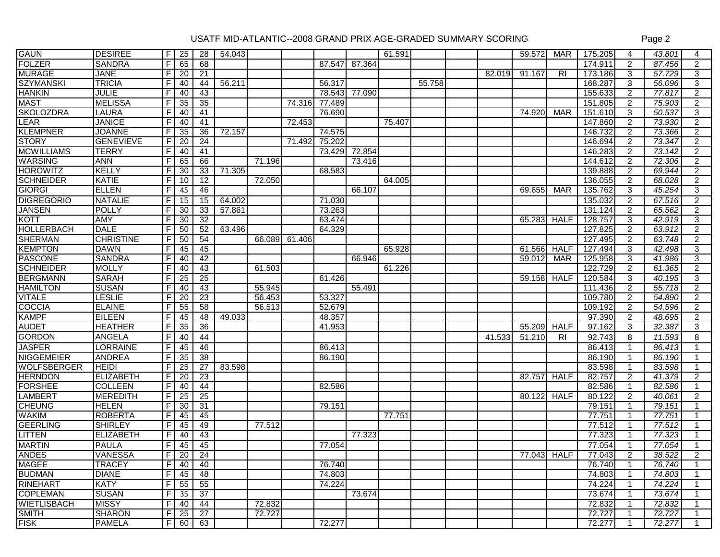| <b>GAUN</b>        | <b>DESIREE</b>   | F              | 25              | 28              | 54.043 |        |        |        |        | 61.591 |        |        | 59.572      | MAR            | 175.205 | 4              | 43.801 | 4                    |
|--------------------|------------------|----------------|-----------------|-----------------|--------|--------|--------|--------|--------|--------|--------|--------|-------------|----------------|---------|----------------|--------|----------------------|
| <b>FOLZER</b>      | <b>SANDRA</b>    | $\overline{F}$ | 65              | 68              |        |        |        | 87.547 | 87.364 |        |        |        |             |                | 174.911 | 2              | 87.456 | $\overline{2}$       |
| <b>MURAGE</b>      | <b>JANE</b>      | F.             | $\overline{20}$ | 21              |        |        |        |        |        |        |        | 82.019 | 91.167      | R <sub>l</sub> | 173.186 | 3              | 57.729 | 3                    |
| <b>SZYMANSKI</b>   | <b>TRICIA</b>    | F              | 40              | 44              | 56.211 |        |        | 56.317 |        |        | 55.758 |        |             |                | 168.287 | 3              | 56.096 | 3                    |
| <b>HANKIN</b>      | <b>JULIE</b>     | F              | 40              | 43              |        |        |        | 78.543 | 77.090 |        |        |        |             |                | 155.633 | 2              | 77.817 | $\overline{2}$       |
| <b>MAST</b>        | <b>MELISSA</b>   | F.             | 35              | 35              |        |        | 74.316 | 77.489 |        |        |        |        |             |                | 151.805 | 2              | 75.903 | $\overline{2}$       |
| <b>SKOLOZDRA</b>   | <b>LAURA</b>     | F              | 40              | 41              |        |        |        | 76.690 |        |        |        |        | 74.920      | <b>MAR</b>     | 151.610 | 3              | 50.537 | 3                    |
| LEAR               | <b>JANICE</b>    | F              | 40              | 41              |        |        | 72.453 |        |        | 75.407 |        |        |             |                | 147.860 | 2              | 73.930 | $\overline{2}$       |
| <b>KLEMPNER</b>    | <b>JOANNE</b>    | F.             | 35              | 36              | 72.157 |        |        | 74.575 |        |        |        |        |             |                | 146.732 | $\overline{2}$ | 73.366 | $\overline{2}$       |
| <b>STORY</b>       | <b>GENEVIEVE</b> | F              | $\overline{20}$ | $\overline{24}$ |        |        | 71.492 | 75.202 |        |        |        |        |             |                | 146.694 | $\overline{2}$ | 73.347 | $\overline{2}$       |
| <b>MCWILLIAMS</b>  | <b>TERRY</b>     | $\overline{F}$ | 40              | 41              |        |        |        | 73.429 | 72.854 |        |        |        |             |                | 146.283 | 2              | 73.142 | $\overline{2}$       |
| <b>WARSING</b>     | <b>ANN</b>       | F              | 65              | 66              |        | 71.196 |        |        | 73.416 |        |        |        |             |                | 144.612 | 2              | 72.306 | $\overline{2}$       |
| <b>HOROWITZ</b>    | <b>KELLY</b>     | F              | 30              | 33              | 71.305 |        |        | 68.583 |        |        |        |        |             |                | 139.888 | $\overline{2}$ | 69.944 | $\overline{2}$       |
| <b>SCHNEIDER</b>   | <b>KATIE</b>     | F              | 10              | 12              |        | 72.050 |        |        |        | 64.005 |        |        |             |                | 136.055 | 2              | 68.028 | $\overline{2}$       |
| <b>GIORGI</b>      | <b>ELLEN</b>     | F.             | 45              | 46              |        |        |        |        | 66.107 |        |        |        | 69.655      | <b>MAR</b>     | 135.762 | 3              | 45.254 | 3                    |
| <b>DIGREGORIO</b>  | <b>NATALIE</b>   | F              | 15              | 15              | 64.002 |        |        | 71.030 |        |        |        |        |             |                | 135.032 | 2              | 67.516 | $\overline{2}$       |
| <b>JANSEN</b>      | <b>POLLY</b>     | F              | 30              | 33              | 57.861 |        |        | 73.263 |        |        |        |        |             |                | 131.124 | $\overline{2}$ | 65.562 | $\overline{2}$       |
| <b>KOTT</b>        | <b>AMY</b>       | F              | 30              | 32              |        |        |        | 63.474 |        |        |        |        | 65.283      | <b>HALF</b>    | 128.757 | 3              | 42.919 | 3                    |
| <b>HOLLERBACH</b>  | <b>DALE</b>      | F              | 50              | 52              | 63.496 |        |        | 64.329 |        |        |        |        |             |                | 127.825 | 2              | 63.912 | $\overline{2}$       |
| <b>SHERMAN</b>     | <b>CHRISTINE</b> | E              | 50              | 54              |        | 66.089 | 61.406 |        |        |        |        |        |             |                | 127.495 | 2              | 63.748 | $\overline{2}$       |
| <b>KEMPTON</b>     | <b>DAWN</b>      | $\overline{F}$ | 45              | 45              |        |        |        |        |        | 65.928 |        |        | 61.566      | <b>HALF</b>    | 127.494 | 3              | 42.498 | 3                    |
| <b>PASCONE</b>     | <b>SANDRA</b>    | F              | 40              | 42              |        |        |        |        | 66.946 |        |        |        | 59.012      | <b>MAR</b>     | 125.958 | 3              | 41.986 | 3                    |
| <b>SCHNEIDER</b>   | <b>MOLLY</b>     | F.             | 40              | 43              |        | 61.503 |        |        |        | 61.226 |        |        |             |                | 122.729 | $\overline{2}$ | 61.365 | $\overline{2}$       |
| <b>BERGMANN</b>    | <b>SARAH</b>     | F              | $\overline{25}$ | 25              |        |        |        | 61.426 |        |        |        |        | 59.158      | <b>HALF</b>    | 120.584 | 3              | 40.195 | 3                    |
| <b>HAMILTON</b>    | <b>SUSAN</b>     | F.             | 40              | 43              |        | 55.945 |        |        | 55.491 |        |        |        |             |                | 111.436 | 2              | 55.718 | $\overline{2}$       |
| <b>VITALE</b>      | <b>LESLIE</b>    | F              | $\overline{20}$ | $\overline{23}$ |        | 56.453 |        | 53.327 |        |        |        |        |             |                | 109.780 | 2              | 54.890 | $\overline{2}$       |
| <b>COCCIA</b>      | <b>ELAINE</b>    | E              | 55              | 58              |        | 56.513 |        | 52.679 |        |        |        |        |             |                | 109.192 | $\overline{2}$ | 54.596 | $\mathbf{2}^{\circ}$ |
| <b>KAMPF</b>       | <b>EILEEN</b>    | F.             | 45              | 48              | 49.033 |        |        | 48.357 |        |        |        |        |             |                | 97.390  | $\overline{2}$ | 48.695 | $\overline{2}$       |
| <b>AUDET</b>       | <b>HEATHER</b>   | F              | 35              | 36              |        |        |        | 41.953 |        |        |        |        | 55.209      | <b>HALF</b>    | 97.162  | 3              | 32.387 | 3                    |
| <b>GORDON</b>      | <b>ANGELA</b>    | F              | 40              | 44              |        |        |        |        |        |        |        | 41.533 | 51.210      | R <sub>l</sub> | 92.743  | 8              | 11.593 | 8                    |
| <b>JASPER</b>      | <b>LORRAINE</b>  | F              | 45              | 46              |        |        |        | 86.413 |        |        |        |        |             |                | 86.413  | $\mathbf 1$    | 86.413 |                      |
| <b>NIGGEMEIER</b>  | <b>ANDREA</b>    | F.             | 35              | 38              |        |        |        | 86.190 |        |        |        |        |             |                | 86.190  | 1              | 86.190 |                      |
| <b>WOLFSBERGER</b> | <b>HEIDI</b>     | E              | $\overline{25}$ | 27              | 83.598 |        |        |        |        |        |        |        |             |                | 83.598  | 1              | 83.598 |                      |
| <b>HERNDON</b>     | <b>ELIZABETH</b> | F.             | 20              | 23              |        |        |        |        |        |        |        |        | 82.757      | <b>HALF</b>    | 82.757  | $\overline{2}$ | 41.379 | $\overline{2}$       |
| <b>FORSHEE</b>     | <b>COLLEEN</b>   | F              | 40              | 44              |        |        |        | 82.586 |        |        |        |        |             |                | 82.586  | $\mathbf{1}$   | 82.586 |                      |
| <b>LAMBERT</b>     | <b>MEREDITH</b>  | $\overline{F}$ | 25              | 25              |        |        |        |        |        |        |        |        | 80.122      | <b>HALF</b>    | 80.122  | $\overline{2}$ | 40.061 | $\overline{2}$       |
| <b>CHEUNG</b>      | <b>HELEN</b>     | F              | 30              | $\overline{31}$ |        |        |        | 79.151 |        |        |        |        |             |                | 79.151  | $\mathbf{1}$   | 79.151 |                      |
| <b>WAKIM</b>       | <b>ROBERTA</b>   | F.             | 45              | 45              |        |        |        |        |        | 77.751 |        |        |             |                | 77.751  | $\mathbf{1}$   | 77.751 |                      |
| <b>GEERLING</b>    | <b>SHIRLEY</b>   | F              | 45              | 49              |        | 77.512 |        |        |        |        |        |        |             |                | 77.512  | $\mathbf{1}$   | 77.512 |                      |
| LITTEN             | <b>ELIZABETH</b> | F.             | 40              | 43              |        |        |        |        | 77.323 |        |        |        |             |                | 77.323  | $\mathbf{1}$   | 77.323 |                      |
| <b>MARTIN</b>      | <b>PAULA</b>     | E              | 45              | 45              |        |        |        | 77.054 |        |        |        |        |             |                | 77.054  | 1              | 77.054 | 1                    |
| <b>ANDES</b>       | <b>VANESSA</b>   | $\overline{r}$ | 20              | 24              |        |        |        |        |        |        |        |        | 77.043 HALF |                | 77.043  | $\overline{2}$ | 38.522 | $\overline{2}$       |
| <b>MAGEE</b>       | <b>TRACEY</b>    | $\overline{F}$ | 40              | 40              |        |        |        | 76.740 |        |        |        |        |             |                | 76.740  |                | 76.740 |                      |
| <b>BUDMAN</b>      | <b>DIANE</b>     | F.             | 45              | 48              |        |        |        | 74.803 |        |        |        |        |             |                | 74.803  | $\mathbf{1}$   | 74.803 |                      |
| <b>RINEHART</b>    | <b>KATY</b>      | F              | 55              | 55              |        |        |        | 74.224 |        |        |        |        |             |                | 74.224  | $\mathbf{1}$   | 74.224 |                      |
| <b>COPLEMAN</b>    | <b>SUSAN</b>     | F.             | 35              | 37              |        |        |        |        | 73.674 |        |        |        |             |                | 73.674  |                | 73.674 |                      |
| <b>WIETLISBACH</b> | <b>MISSY</b>     | F.             | 40              | 44              |        | 72.832 |        |        |        |        |        |        |             |                | 72.832  |                | 72.832 |                      |
| <b>SMITH</b>       | <b>SHARON</b>    | $\overline{r}$ | 25              | 27              |        | 72.727 |        |        |        |        |        |        |             |                | 72.727  | 1              | 72.727 |                      |
| <b>FISK</b>        | <b>PAMELA</b>    | $\overline{F}$ | 60              | 63              |        |        |        | 72.277 |        |        |        |        |             |                | 72.277  |                | 72.277 |                      |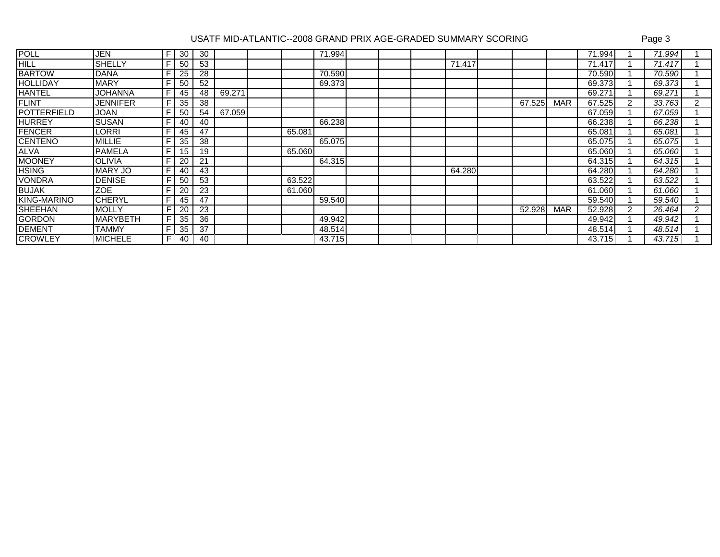| <b>POLL</b>        | JEN             | F. | 30 | 30 |        |        | 71.994 |  |        |        |            | 71.994 |   | 71.994 |                |
|--------------------|-----------------|----|----|----|--------|--------|--------|--|--------|--------|------------|--------|---|--------|----------------|
| <b>HILL</b>        | <b>SHELLY</b>   | F. | 50 | 53 |        |        |        |  | 71.417 |        |            | 71.417 |   | 71.417 |                |
| <b>BARTOW</b>      | <b>DANA</b>     |    | 25 | 28 |        |        | 70.590 |  |        |        |            | 70.590 |   | 70.590 |                |
| <b>HOLLIDAY</b>    | <b>MARY</b>     | F. | 50 | 52 |        |        | 69.373 |  |        |        |            | 69.373 |   | 69.373 |                |
| <b>HANTEL</b>      | JOHANNA         | F. | 45 | 48 | 69.271 |        |        |  |        |        |            | 69.27' |   | 69.271 |                |
| <b>FLINT</b>       | JENNIFER        |    | 35 | 38 |        |        |        |  |        | 67.525 | <b>MAR</b> | 67.525 | 2 | 33.763 | 2              |
| <b>POTTERFIELD</b> | <b>JOAN</b>     | F. | 50 | 54 | 67.059 |        |        |  |        |        |            | 67.059 |   | 67.059 |                |
| <b>HURREY</b>      | <b>SUSAN</b>    | F. | 40 | 40 |        |        | 66.238 |  |        |        |            | 66.238 |   | 66.238 |                |
| <b>FENCER</b>      | LORRI           |    | 45 | 47 |        | 65.081 |        |  |        |        |            | 65.081 |   | 65.081 |                |
| <b>CENTENO</b>     | <b>MILLIE</b>   | F. | 35 | 38 |        |        | 65.075 |  |        |        |            | 65.075 |   | 65.075 |                |
| <b>ALVA</b>        | <b>PAMELA</b>   | F. | 15 | 19 |        | 65.060 |        |  |        |        |            | 65.060 |   | 65.060 |                |
| <b>MOONEY</b>      | <b>OLIVIA</b>   | F. | 20 | 21 |        |        | 64.315 |  |        |        |            | 64.315 |   | 64.315 |                |
| <b>HSING</b>       | <b>MARY JO</b>  | F. | 40 | 43 |        |        |        |  | 64.280 |        |            | 64.280 |   | 64.280 |                |
| <b>VONDRA</b>      | <b>DENISE</b>   |    | 50 | 53 |        | 63.522 |        |  |        |        |            | 63.522 |   | 63.522 |                |
| <b>BUJAK</b>       | <b>ZOE</b>      |    | 20 | 23 |        | 61.060 |        |  |        |        |            | 61.060 |   | 61.060 |                |
| KING-MARINO        | <b>CHERYL</b>   |    | 45 | 47 |        |        | 59.540 |  |        |        |            | 59.540 |   | 59.540 |                |
| <b>SHEEHAN</b>     | <b>MOLLY</b>    |    | 20 | 23 |        |        |        |  |        | 52.928 | <b>MAR</b> | 52.928 | 2 | 26.464 | $\overline{2}$ |
| <b>GORDON</b>      | <b>MARYBETH</b> |    | 35 | 36 |        |        | 49.942 |  |        |        |            | 49.942 |   | 49.942 |                |
| <b>DEMENT</b>      | <b>TAMMY</b>    |    | 35 | 37 |        |        | 48.514 |  |        |        |            | 48.514 |   | 48.514 |                |
| <b>CROWLEY</b>     | <b>MICHELE</b>  |    | 40 | 40 |        |        | 43.715 |  |        |        |            | 43.715 |   | 43.715 |                |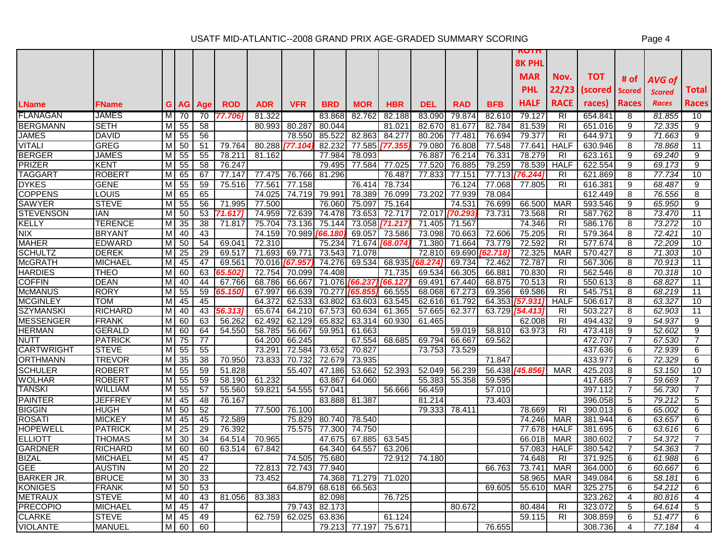|                                   |                                |                |                 |          |                  |            |                |            |               |            |            |            |            | <b>MAR</b>            | Nov.           | TOT.               | # of           | <b>AVG of</b> |                |
|-----------------------------------|--------------------------------|----------------|-----------------|----------|------------------|------------|----------------|------------|---------------|------------|------------|------------|------------|-----------------------|----------------|--------------------|----------------|---------------|----------------|
|                                   |                                |                |                 |          |                  |            |                |            |               |            |            |            |            | <b>PHL</b>            | 22/23          | (scored            | <b>Scored</b>  | <b>Scored</b> | Total          |
| <b>LName</b>                      | FName                          | G              |                 | AG   Age | <b>ROD</b>       | <b>ADR</b> | VFR            | <b>BRD</b> | <b>MOR</b>    | <b>HBR</b> | <b>DEL</b> | <b>RAD</b> | <b>BFB</b> | HALF                  | <b>RACE</b>    | races)             | <b>Races</b>   | <b>Races</b>  | <b>Races</b>   |
| <b>FLANAGAN</b>                   | <b>JAMES</b>                   | M              | 70              | 70       | 77.7061          | 81.322     |                | 83.868     | 82.762        | 82.188     | 83.090     | 79.874     | 82.610     | 79.127                | <b>RI</b>      | 654.84             | 8              | 81.855        | 10             |
| <b>BERGMANN</b>                   | <b>SETH</b>                    | M              | 55              | 58       |                  | 80.993     | 80.287         | 80.044     |               | 81.021     | 82.670     | 81.677     | 82.784     | 81.539                | $\overline{R}$ | 651.016            | $\overline{9}$ | 72.335        | 9              |
| <b>JAMES</b>                      | <b>DAVID</b>                   | м              | 55              | 56       |                  |            | 78.550         | 85.522     | 82.863        | 84.277     | 80.206     | 77.481     | 76.694     | 79.377                | <b>RI</b>      | 644.971            | 9              | 71.663        | 9              |
| <b>VITALI</b>                     | <b>GREG</b>                    | м              | 50              | 51       | 79.764           | 80.288     | [77.104        | 82.232     | 77.585        | 77.35      | 79.080     | 76.808     | 77.548     | 77.641                | <b>HALF</b>    | 630.946            | 8              | 78.868        | 11             |
| <b>BERGER</b>                     | <b>JAMES</b>                   | M              | 55              | 55       | 78.211           | 81.162     |                | 77.984     | 78.093        |            | 76.887     | 76.214     | 76.331     | 78.279                | $\overline{R}$ | 623.161            | 9              | 69.240        | 9              |
| <b>PRIZER</b>                     | KENT                           | M              | 55              | 58       | 76.247           |            |                | 79.495     | 77.584        | 77.025     | 77.520     | 76.885     | 79.259     | 78.539                | <b>HALF</b>    | 622.554            | 9              | 69.173        | 9              |
| <b>TAGGART</b>                    | <b>ROBERT</b>                  | м              | 65              | 67       | 77.147           | 77.475     | 76.766         | 81.296     |               | 76.487     | 77.833     | 77.151     | 77.713     | [76.244]              | R <sub>l</sub> | 621.869            | 8              | 77.734        | 10             |
| <b>DYKES</b>                      | <b>GENE</b>                    | M              | 55              | 59       | 75.516           | 77.561     | 77.158         |            | 76.414        | 78.734     |            | 76.124     | 77.068     | 77.805                | R <sub>l</sub> | 616.381            | 9              | 68.487        | 9              |
| <b>COPPENS</b>                    | LOUIS                          | M              | 65              | 65       |                  | 74.025     | 74.719         | 79.991     | 78.389        | 76.099     | 73.202     | 77.939     | 78.084     |                       |                | 612.449            | 8              | 76.556        | 8              |
| <b>SAWYER</b>                     | <b>STEVE</b>                   | M              | 55              | 56       | 71.995           | 77.500     |                | 76.060     | 75.097        | 75.164     |            | 74.531     | 76.699     | 66.500                | <b>MAR</b>     | 593.546            | 9              | 65.950        | 9              |
| <b>STEVENSON</b>                  | <b>IAN</b>                     | M              | 50              | 53       | 71.617           | 74.959     | 72.639         | 74.478     | 73.653        | 72.717     | 72.017     | 170.293    | 73.731     | 73.568                | R <sub>l</sub> | 587.762            | 8              | 73.470        | 11             |
| <b>KELLY</b>                      | TERENCE                        | M              | 35              | 38       | 71.817           | 75.704     | 73.136         | 75.144     | 73.058        | 71.217     | 71.405     | 71.567     |            | 74.346                | RI             | 586.176            | 8              | 73.272        | 10             |
| <b>NIX</b>                        | <b>BRYANT</b>                  | M              | 40              | 43       |                  | 74.159     | 70.989         | 166.180    | 69.057        | 73.586     | 73.098     | 70.663     | 72.606     | 75.205                | <b>RI</b>      | 579.364            | 8              | 72.421        | 10             |
| <b>MAHER</b>                      | <b>IEDWARD</b>                 | M              | 50              | 54       | 69.041           | 72.310     |                | 75.234     | 71.674        | '68.074    | 71.380     | 71.664     | 73.779     | 72.592                | <b>RI</b>      | 577.674            | 8              | 72.209        | 10             |
| <b>SCHULTZ</b>                    | <b>DEREK</b>                   | M              | $\overline{25}$ | 29       | 69.517           | 71.693     | 69.771         | 73.543     | 71.078        |            | 72.810     | 69.690     | 62.718     | 72.325                | <b>MAR</b>     | 570.427            | 8              | 71.303        | 10             |
| <b>McGRATH</b>                    | <b>MICHAEL</b>                 | М              | 45              | 47       | 69.561           |            | 70.016 767.957 | 74.276     | 69.534        | 68.935     | 168.274    | 69.734     | 72.462     | 72.787                | <b>RI</b>      | 567.306            | 8              | 70.913        | 11             |
| <b>HARDIES</b>                    | THEO                           | M              | 60              | 63       | 55.5021          | 72.754     | 70.099         | 74.408     |               | 71.735     | 69.534     | 66.305     | 66.881     | 70.830                | R <sub>l</sub> | 562.546            | 8              | 70.318        | 10             |
| <b>COFFIN</b>                     | <b>DEAN</b>                    | M              | 40              | 44       | 67.766           | 68.786     | 66.667         |            | 71.076 66.237 | '66.12     | 69.491     | 67.440     | 68.875     | 70.513                | <b>RI</b>      | 550.613            | 8              | 68.827        | 11             |
| <b>McMANUS</b>                    | <b>RORY</b>                    | M              | 55              | 59       | 5 <b>5.150</b> 1 | 67.997     | 66.639         | 70.277     | [65.855       | 66.555     | 68.068     | 67.273     | 69.356     | 69.586                | R <sub>1</sub> | 545.751            | 8              | 68.219        | 11             |
| <b>MCGINLEY</b>                   | TOM                            | M              | 45              | 45       |                  | 64.372     | 62.533         | 63.802     | 63.603        | 63.545     | 62.616     | 61.792     | 64.353     | 157.931               | <b>HALF</b>    | 506.617            | 8              | 63.327        | 10             |
| <b>SZYMANSKI</b>                  | <b>RICHARD</b>                 | $\overline{M}$ | 40              | 43       | 56.313           | 65.674     | 64.210         | 67.573     | 60.634        | 61.365     | 57.665     | 62.377     | 63.729     | [54.413               | R <sub>l</sub> | 503.227            | $\overline{8}$ | 62.903        | 11             |
| <b>MESSENGER</b>                  | <b>FRANK</b>                   | M              | 60              | 63       | 56.262           | 62.492     | 62.129         | 65.832     | 63.314        | 60.930     | 61.465     |            |            | 62.008                | R <sub>l</sub> | 494.432            | 9              | 54.937        | 9              |
| <b>HERMAN</b>                     | <b>GERALD</b>                  | M              | 60              | 64       | 54.550           | 58.785     | 56.667         | 59.951     | 61.663        |            |            | 59.019     | 58.810     | 63.973                | <b>RI</b>      | 473.418            | 9              | 52.602        | 9              |
| <b>NUTT</b>                       | <b>PATRICK</b>                 | м              | 75              | 77       |                  | 64.200     | 66.245         |            | 67.554        | 68.685     | 69.794     | 66.667     | 69.562     |                       |                | 472.707            | $\overline{7}$ | 67.530        | 7              |
| <b>CARTWRIGHT</b>                 | <b>STEVE</b>                   | м              | 55              | 55       |                  | 73.291     | 72.584         | 73.652     | 70.827        |            | 73.753     | 73.529     |            |                       |                | 437.636            | 6              | 72.939        | 6              |
| <b>ORTHMANN</b>                   | TREVOR                         | M              | 35              | 38       | 70.950           | 73.833     | 70.732         | 72.679     | 73.935        |            |            |            | 71.847     |                       |                | 433.977            | 6              | 72.329        | 6              |
| <b>SCHULER</b>                    | <b>ROBERT</b>                  | M              | 55              | 59       | 51.828           |            | 55.407         | 47.186     | 53.662        | 52.393     | 52.049     | 56.239     |            | 56.438 <b>745.856</b> | <b>MAR</b>     | 425.203            | 8              | 53.150        | 10             |
| <b>WOLHAR</b>                     | ROBER <sub>1</sub>             | M              | 55              | 59       | 58.190           | 61.232     |                | 63.867     | 64.060        |            | 55.383     | 55.358     | 59.595     |                       |                | 417.685            | $\overline{7}$ | 59.669        | 7              |
| <b>TANSKI</b>                     | <b>WILLIAM</b>                 | M              | 55              | 57       | 55.560           | 59.821     | 54.555         | 57.041     |               | 56.666     | 56.459     |            | 57.010     |                       |                | 397.112            | $\overline{7}$ | 56.730        | $\overline{7}$ |
| <b>PAINTER</b>                    | <b>JEFFREY</b>                 | M              | 45              | 48       | 76.167           |            |                | 83.888     | 81.387        |            | 81.214     |            | 73.403     |                       |                | 396.058            | 5              | 79.212        | 5              |
| <b>BIGGIN</b>                     | <b>HUGH</b>                    | M              | 50              | 52       |                  | 77.500     | 76.100         |            |               |            | 79.333     | 78.411     |            | 78.669                | <b>RI</b>      | 390.013            | 6              | 65.002        | 6              |
| <b>ROSATI</b>                     | <b>MICKEY</b>                  | M              | 45              | 45       | 72.589           |            | 75.829         | 80.740     | 78.540        |            |            |            |            | 74.246                | <b>MAR</b>     | 381.944            | 6              | 63.657        | 6              |
| <b>HOPEWELL</b>                   | <b>PATRICK</b>                 | M              | 25              | 29       | 76.392           |            | 75.575         | 77.300     | 74.750        |            |            |            |            | 77.678                | <b>HALF</b>    | 381.695            | 6              | 63.616        | 6              |
| <b>ELLIOTT</b>                    | <b>THOMAS</b>                  | M              | 30              | 34       | 64.514           | 70.965     |                | 47.675     | 67.885        | 63.545     |            |            |            | 66.018                | <b>MAR</b>     | 380.602            | $\overline{7}$ | 54.372        | $\overline{7}$ |
| <b>GARDNER</b>                    | <b>RICHARD</b>                 | M              | 60              | 60       | 63.514           | 67.842     |                | 64.340     | 64.557        | 63.206     |            |            |            | 57.083                | <b>HALF</b>    | 380.542            | 7              | 54.363        | 7              |
| <b>BIZAL</b>                      | <b>MICHAEL</b>                 | M              | 45              | 47       |                  |            | 74.505         | 75.680     |               | 72.912     | 74.180     |            |            | 74.648                | R <sub>l</sub> | 371.925            | 6              | 61.988        | 6              |
| <b>GEE</b>                        | <b>AUSTIN</b>                  | M              | 20              | 22       |                  | 72.813     | 72.743         | 77.940     |               |            |            |            | 66.763     | 73.741                | <b>MAR</b>     | 364.000            | 6              | 60.667        | 6              |
| <b>BARKER JR</b>                  | <b>BRUCE</b>                   | M              | 30              | 33<br>53 |                  | 73.452     |                | 74.368     | 71.279        | 71.020     |            |            |            | 58.965                | <b>MAR</b>     | 349.084            | 6              | 58.181        | 6              |
| <b>KONIGES</b>                    | FRANK                          | M              | 50              |          |                  |            | 64.879         | 68.618     | 66.563        |            |            |            | 69.605     | 55.610                | <b>MAR</b>     | 325.275            | 6              | 54.212        | 6              |
| <b>METRAUX</b><br><b>PRECOPIO</b> | <b>STEVE</b><br><b>MICHAEL</b> | M              | 40<br>45        | 43       | 81.056           | 83.383     | 79.743         | 82.098     |               | 76.725     |            |            |            |                       |                | 323.262<br>323.072 | 4              | 80.816        | 4              |
|                                   |                                | M              |                 | 47       |                  |            |                | 82.173     |               |            |            | 80.672     |            | 80.484                | RI             |                    | 5              | 64.614        | 5              |
| <b>CLARKE</b>                     | <b>STEVE</b>                   | M              | 45              | 49       |                  | 62.759     | 62.025         | 63.836     |               | 61.124     |            |            |            | 59.115                | <b>RI</b>      | 308.859            | 6              | 51.477        | 6              |
| <b>VIOLANTE</b>                   | <b>MANUEL</b>                  | M              | 60              | 60       |                  |            |                |            | 79.213 77.197 | 75.671     |            |            | 76.655     |                       |                | 308.736            | 4              | 77.184        | $\overline{4}$ |

**ROTH 8K PHL**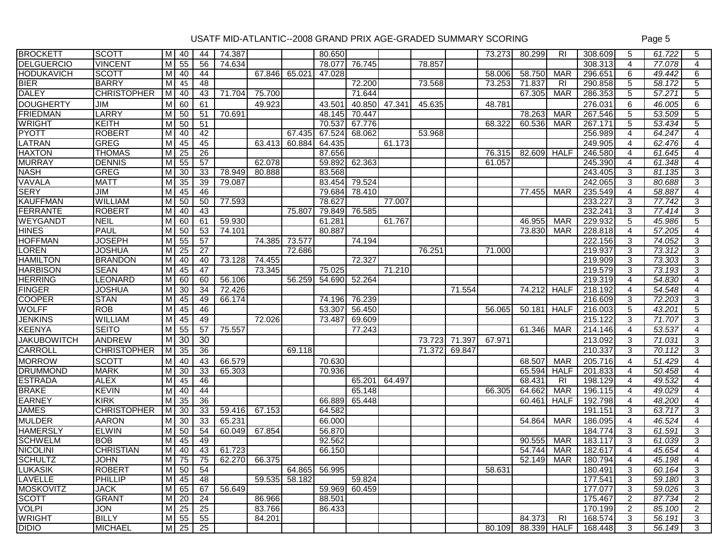| <b>BROCKETT</b>    | <b>SCOTT</b>       | M  | 40              | 44              | 74.387 |                       |               | 80.650        |        |        |        |        | 73.273 | 80.299 | <b>RI</b>                 | 308.609                    | 5              | 61.722 | 5              |
|--------------------|--------------------|----|-----------------|-----------------|--------|-----------------------|---------------|---------------|--------|--------|--------|--------|--------|--------|---------------------------|----------------------------|----------------|--------|----------------|
| <b>DELGUERCIO</b>  | <b>VINCENT</b>     | M  | 55              | 56              | 74.634 |                       |               | 78.077        | 76.745 |        | 78.857 |        |        |        |                           | 308.313                    | $\overline{4}$ | 77.078 | $\overline{4}$ |
| <b>HODUKAVICH</b>  | <b>SCOTT</b>       | МI | 40              | 44              |        | 67.846                | 65.021        | 47.028        |        |        |        |        | 58.006 | 58.750 | <b>MAR</b>                | 296.651                    | 6              | 49.442 | 6              |
| <b>BIER</b>        | <b>BARRY</b>       | M  | 45              | 48              |        |                       |               |               | 72.200 |        | 73.568 |        | 73.253 | 71.837 | R <sub>1</sub>            | 290.858                    | 5              | 58.172 | 5              |
| <b>DALEY</b>       | <b>CHRISTOPHER</b> | мI | 40              | 43              | 71.704 | 75.700                |               |               | 71.644 |        |        |        |        | 67.305 | <b>MAR</b>                | 286.353                    | 5              | 57.271 | 5              |
| <b>DOUGHERTY</b>   | JIM                | M  | 60              | 61              |        | 49.923                |               | 43.501        | 40.850 | 47.341 | 45.635 |        | 48.781 |        |                           | 276.031                    | 6              | 46.005 | 6              |
| <b>FRIEDMAN</b>    | <b>LARRY</b>       | МI | 50              | 51              | 70.691 |                       |               | 48.145        | 70.447 |        |        |        |        | 78.263 | <b>MAR</b>                | 267.546                    | 5              | 53.509 | 5              |
| <b>WRIGHT</b>      | KEITH              | M  | 50              | 51              |        |                       |               | 70.537        | 67.776 |        |        |        | 68.322 | 60.536 | <b>MAR</b>                | 267.171                    | 5              | 53.434 | 5              |
| PYOTT              | <b>ROBERT</b>      | м  | 40              | 42              |        |                       | 67.435        | 67.524        | 68.062 |        | 53.968 |        |        |        |                           | 256.989                    | 4              | 64.247 | 4              |
| LATRAN             | <b>GREG</b>        | M  | 45              | 45              |        | 63.413                | 60.884        | 64.435        |        | 61.173 |        |        |        |        |                           | 249.905                    | $\overline{4}$ | 62.476 | $\overline{4}$ |
| <b>HAXTON</b>      | <b>THOMAS</b>      | м  | $\overline{25}$ | 26              |        |                       |               | 87.656        |        |        |        |        | 76.315 | 82.609 | <b>HALF</b>               | 246.580                    | 4              | 61.645 | 4              |
| <b>MURRAY</b>      | <b>DENNIS</b>      | мI | 55              | 57              |        | 62.078                |               | 59.892        | 62.363 |        |        |        | 61.057 |        |                           | 245.390                    | $\overline{4}$ | 61.348 | $\overline{4}$ |
| <b>NASH</b>        | <b>GREG</b>        | M  | $\overline{30}$ | $\overline{33}$ | 78.949 | 80.888                |               | 83.568        |        |        |        |        |        |        |                           | 243.405                    | 3              | 81.135 | 3              |
| VAVALA             | <b>MATT</b>        | мı | 35              | 39              | 79.087 |                       |               | 83.454        | 79.524 |        |        |        |        |        |                           | 242.065                    | 3              | 80.688 | 3              |
| <b>SERY</b>        | JIM                | М  | 45              | 46              |        |                       |               | 79.684        | 78.410 |        |        |        |        | 77.455 | <b>MAR</b>                | 235.549                    | $\overline{4}$ | 58.887 | 4              |
| <b>KAUFFMAN</b>    | <b>WILLIAM</b>     | М  | 50              | 50              | 77.593 |                       |               | 78.627        |        | 77.007 |        |        |        |        |                           | 233.227                    | 3              | 77.742 | 3              |
| <b>FERRANTE</b>    | <b>ROBERT</b>      | M  | 40              | 43              |        |                       | 75.807        | 79.849        | 76.585 |        |        |        |        |        |                           | 232.241                    | 3              | 77.414 | 3              |
| <b>WEYGANDT</b>    | <b>NEIL</b>        | м  | 60              | 61              | 59.930 |                       |               | 61.281        |        | 61.767 |        |        |        | 46.955 | <b>MAR</b>                | 229.932                    | 5              | 45.986 | 5              |
| <b>HINES</b>       | <b>PAUL</b>        | м  | 50              | 53              | 74.101 |                       |               | 80.887        |        |        |        |        |        | 73.830 | <b>MAR</b>                | 228.818                    | $\overline{4}$ | 57.205 | 4              |
| <b>HOFFMAN</b>     | <b>JOSEPH</b>      | мI | 55              | 57              |        | 74.385                | 73.577        |               | 74.194 |        |        |        |        |        |                           | 222.156                    | 3              | 74.052 | 3              |
| LOREN              | <b>JOSHUA</b>      | мI | $\overline{25}$ | $\overline{27}$ |        |                       | 72.686        |               |        |        | 76.251 |        | 71.000 |        |                           | 219.937                    | 3              | 73.312 | 3              |
| <b>HAMILTON</b>    | <b>BRANDON</b>     | M  | 40              | 40              | 73.128 | 74.455                |               |               | 72.327 |        |        |        |        |        |                           | 219.909                    | 3              | 73.303 | 3              |
| <b>HARBISON</b>    | <b>SEAN</b>        | M  | 45              | 47              |        | 73.345                |               | 75.025        |        | 71.210 |        |        |        |        |                           | 219.579                    | 3              | 73.193 | 3              |
| <b>HERRING</b>     | <b>LEONARD</b>     | М  | 60              | 60              | 56.106 |                       | 56.259        | 54.690        | 52.264 |        |        |        |        |        |                           | 219.319                    | $\overline{4}$ | 54.830 | 4              |
| <b>FINGER</b>      | <b>JOSHUA</b>      | M  | 30              | 34              | 72.426 |                       |               |               |        |        |        | 71.554 |        | 74.212 | <b>HALF</b>               | 218.192                    | $\overline{4}$ | 54.548 | 4              |
| <b>COOPER</b>      | <b>STAN</b>        | мι | 45              | 49              | 66.174 |                       |               | 74.196        | 76.239 |        |        |        |        |        |                           | 216.609                    | 3              | 72.203 | 3              |
| <b>WOLFF</b>       | <b>ROB</b>         | M  | 45              | 46              |        |                       |               | 53.307        | 56.450 |        |        |        | 56.065 | 50.181 | <b>HALF</b>               | 216.003                    | 5              | 43.201 | 5              |
| <b>JENKINS</b>     | WILLIAM            | мI | 45              | 49              |        | 72.026                |               | 73.487        | 69.609 |        |        |        |        |        |                           | 215.122                    | 3              | 71.707 | 3              |
| <b>KEENYA</b>      | <b>SEITO</b>       | м  | 55              | 57              | 75.557 |                       |               |               | 77.243 |        |        |        |        | 61.346 | <b>MAR</b>                | 214.146                    | 4              | 53.537 | 4              |
| <b>JAKUBOWITCH</b> | <b>ANDREW</b>      | МI | 30              | 30              |        |                       |               |               |        |        | 73.723 | 71.397 | 67.971 |        |                           | 213.092                    | 3              | 71.031 | 3              |
| CARROLL            | <b>CHRISTOPHER</b> | M  | 35              | 36              |        |                       | 69.118        |               |        |        | 71.372 | 69.847 |        |        |                           | 210.337                    | 3              | 70.112 | 3              |
| <b>MORROW</b>      | <b>SCOTT</b>       | M  | 40              | 43              | 66.579 |                       |               | 70.630        |        |        |        |        |        | 68.507 | <b>MAR</b>                | 205.716                    | $\overline{4}$ | 51.429 | $\overline{4}$ |
| <b>DRUMMOND</b>    | <b>MARK</b>        | м  | 30              | 33              | 65.303 |                       |               | 70.936        |        |        |        |        |        | 65.594 | <b>HALF</b>               | 201.833                    | 4              | 50.458 | 4              |
| <b>ESTRADA</b>     | <b>ALEX</b>        | M  | 45              | 46              |        |                       |               |               | 65.201 | 64.497 |        |        |        | 68.431 | R <sub>l</sub>            | 198.129                    | $\overline{4}$ | 49.532 | $\overline{4}$ |
| <b>BRAKE</b>       | <b>KEVIN</b>       | мI | 40              | 44              |        |                       |               |               | 65.148 |        |        |        | 66.305 | 64.662 | <b>MAR</b>                | 196.115                    | 4              | 49.029 | 4              |
| <b>EARNEY</b>      | <b>KIRK</b>        | М  | $\overline{35}$ | 36              |        |                       |               | 66.889        | 65.448 |        |        |        |        | 60.461 | <b>HALF</b>               | 192.798                    | 4              | 48.200 | 4              |
| <b>JAMES</b>       | <b>CHRISTOPHER</b> | M  | 30              | 33              | 59.416 | 67.153                |               | 64.582        |        |        |        |        |        |        |                           | 191.151                    | 3              | 63.717 | 3              |
| <b>MULDER</b>      | <b>AARON</b>       | M  | 30              | 33              | 65.231 |                       |               | 66.000        |        |        |        |        |        | 54.864 | <b>MAR</b>                | 186.095                    | $\overline{4}$ | 46.524 | $\overline{4}$ |
| <b>HAMERSLY</b>    | <b>ELWIN</b>       | М  | 50              | 54              | 60.049 | 67.854                |               | 56.870        |        |        |        |        |        |        |                           | 184.774                    | 3              | 61.591 | 3              |
| <b>SCHWELM</b>     | <b>BOB</b>         | м  | 45              | 49              |        |                       |               | 92.562        |        |        |        |        |        | 90.555 | <b>MAR</b>                | 183.117                    | 3              | 61.039 | 3              |
| <b>NICOLINI</b>    | <b>CHRISTIAN</b>   | М  | 40              | 43              | 61.723 |                       |               | 66.150        |        |        |        |        |        | 54.744 | <b>MAR</b>                | 182.617                    | 4              | 45.654 | 4              |
| SCHULTZ            | <b>JOHN</b>        |    |                 |                 |        | M 75 75 62.270 66.375 |               |               |        |        |        |        |        |        | 52.149 MAR $\blacksquare$ | 180.794                    | 4              | 45.198 | 4              |
| <b>LUKASIK</b>     | <b>ROBERT</b>      |    | $M$ 50 54       |                 |        |                       |               | 64.865 56.995 |        |        |        |        | 58.631 |        |                           | 180.491                    | 3              | 60.164 | 3              |
| <b>LAVELLE</b>     | <b>PHILLIP</b>     |    | M 45            | 48              |        |                       | 59.535 58.182 |               | 59.824 |        |        |        |        |        |                           | 177.541                    | 3              | 59.180 | 3              |
| <b>MOSKOVITZ</b>   | <b>JACK</b>        |    | $M$ 65          | 67              | 56.649 |                       |               | 59.969        | 60.459 |        |        |        |        |        |                           | 177.077                    | 3              | 59.026 | 3              |
| <b>SCOTT</b>       | <b>GRANT</b>       |    | $M$ 20          | 24              |        | 86.966                |               | 88.501        |        |        |        |        |        |        |                           | 175.467                    | 2              | 87.734 | 2              |
| <b>VOLPI</b>       | <b>JON</b>         |    | $M$ 25 25       |                 |        | 83.766                |               | 86.433        |        |        |        |        |        |        |                           | 170.199                    | $\overline{2}$ | 85.100 | $\overline{2}$ |
| <b>WRIGHT</b>      | <b>BILLY</b>       |    | M 55 55         |                 |        | 84.201                |               |               |        |        |        |        |        | 84.373 | R <sub>l</sub>            | 168.574                    | $\mathbf{3}$   | 56.191 | 3              |
| <b>DIDIO</b>       | <b>MICHAEL</b>     |    | M 25 25         |                 |        |                       |               |               |        |        |        |        |        |        |                           | 80.109 88.339 HALF 168.448 | 3              | 56.149 | 3              |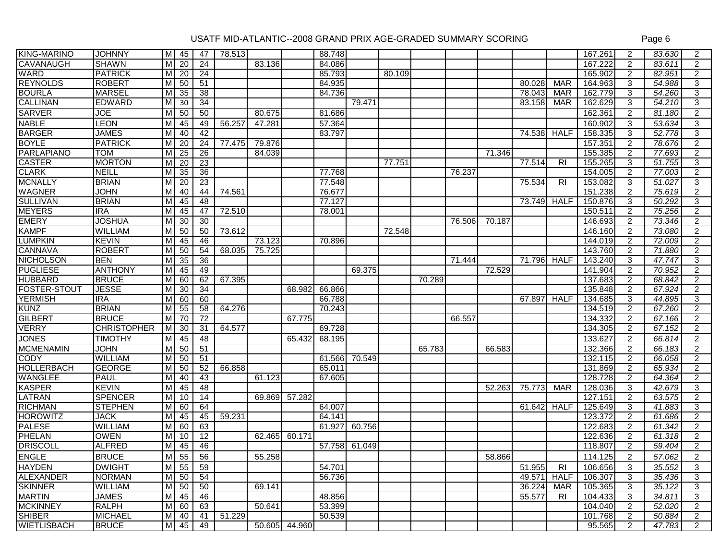| <b>KING-MARINO</b>  | <b>JOHNNY</b>      | M I                     | 45              | 47              | 78.513 |        |               | 88.748 |        |        |        |        |        |        |                | 167.261 | 2              | 83.630 | 2              |
|---------------------|--------------------|-------------------------|-----------------|-----------------|--------|--------|---------------|--------|--------|--------|--------|--------|--------|--------|----------------|---------|----------------|--------|----------------|
| CAVANAUGH           | <b>SHAWN</b>       | M                       | 20              | $\overline{24}$ |        | 83.136 |               | 84.086 |        |        |        |        |        |        |                | 167.222 | 2              | 83.611 | 2              |
| <b>WARD</b>         | <b>PATRICK</b>     | М                       | 20              | $\overline{24}$ |        |        |               | 85.793 |        | 80.109 |        |        |        |        |                | 165.902 | 2              | 82.951 | 2              |
| <b>REYNOLDS</b>     | <b>ROBERT</b>      | $\overline{M}$          | 50              | 51              |        |        |               | 84.935 |        |        |        |        |        | 80.028 | <b>MAR</b>     | 164.963 | 3              | 54.988 | 3              |
| <b>BOURLA</b>       | <b>MARSEL</b>      | M                       | 35              | 38              |        |        |               | 84.736 |        |        |        |        |        | 78.043 | <b>MAR</b>     | 162.779 | 3              | 54.260 | 3              |
| <b>CALLINAN</b>     | <b>EDWARD</b>      | M                       | 30              | 34              |        |        |               |        | 79.471 |        |        |        |        | 83.158 | <b>MAR</b>     | 162.629 | 3              | 54.210 | 3              |
| <b>SARVER</b>       | JOE                | M                       | 50              | 50              |        | 80.675 |               | 81.686 |        |        |        |        |        |        |                | 162.361 | $\overline{2}$ | 81.180 | $\overline{2}$ |
| <b>NABLE</b>        | <b>LEON</b>        | M                       | 45              | 49              | 56.257 | 47.281 |               | 57.364 |        |        |        |        |        |        |                | 160.902 | 3              | 53.634 | 3              |
| <b>BARGER</b>       | <b>JAMES</b>       | м                       | 40              | 42              |        |        |               | 83.797 |        |        |        |        |        | 74.538 | <b>HALF</b>    | 158.335 | 3              | 52.778 | 3              |
| <b>BOYLE</b>        | <b>PATRICK</b>     | M                       | 20              | $\overline{24}$ | 77.475 | 79.876 |               |        |        |        |        |        |        |        |                | 157.351 | 2              | 78.676 | $\overline{2}$ |
| <b>PARLAPIANO</b>   | <b>TOM</b>         | $\overline{\mathsf{M}}$ | $\overline{25}$ | $\overline{26}$ |        | 84.039 |               |        |        |        |        |        | 71.346 |        |                | 155.385 | $\overline{2}$ | 77.693 | $\overline{2}$ |
| <b>CASTER</b>       | <b>MORTON</b>      | $\overline{\mathsf{M}}$ | $\overline{20}$ | $\overline{23}$ |        |        |               |        |        | 77.751 |        |        |        | 77.514 | R <sub>l</sub> | 155.265 | 3              | 51.755 | 3              |
| <b>CLARK</b>        | <b>NEILL</b>       | M                       | 35              | 36              |        |        |               | 77.768 |        |        |        | 76.237 |        |        |                | 154.005 | 2              | 77.003 | 2              |
| <b>MCNALLY</b>      | <b>BRIAN</b>       | M                       | 20              | 23              |        |        |               | 77.548 |        |        |        |        |        | 75.534 | R <sub>l</sub> | 153.082 | 3              | 51.027 | 3              |
| <b>WAGNER</b>       | <b>JOHN</b>        | M                       | 40              | 44              | 74.561 |        |               | 76.677 |        |        |        |        |        |        |                | 151.238 | 2              | 75.619 | $\overline{2}$ |
| <b>SULLIVAN</b>     | <b>BRIAN</b>       | M                       | 45              | 48              |        |        |               | 77.127 |        |        |        |        |        | 73.749 | <b>HALF</b>    | 150.876 | 3              | 50.292 | 3              |
| <b>MEYERS</b>       | <b>IRA</b>         | $\overline{M}$          | 45              | 47              | 72.510 |        |               | 78.001 |        |        |        |        |        |        |                | 150.511 | 2              | 75.256 | $\overline{2}$ |
| <b>EMERY</b>        | <b>JOSHUA</b>      | M                       | 30              | 30              |        |        |               |        |        |        |        | 76.506 | 70.187 |        |                | 146.693 | 2              | 73.346 | 2              |
| <b>KAMPF</b>        | <b>WILLIAM</b>     | м                       | 50              | 50              | 73.612 |        |               |        |        | 72.548 |        |        |        |        |                | 146.160 | $\overline{2}$ | 73.080 | $\overline{2}$ |
| <b>LUMPKIN</b>      | <b>KEVIN</b>       | M                       | 45              | 46              |        | 73.123 |               | 70.896 |        |        |        |        |        |        |                | 144.019 | $\overline{2}$ | 72.009 | $\overline{2}$ |
| <b>CANNAVA</b>      | <b>ROBERT</b>      | $\overline{M}$          | 50              | 54              | 68.035 | 75.725 |               |        |        |        |        |        |        |        |                | 143.760 | 2              | 71.880 | $\overline{2}$ |
| <b>NICHOLSON</b>    | <b>BEN</b>         | M                       | 35              | 36              |        |        |               |        |        |        |        | 71.444 |        | 71.796 | <b>HALF</b>    | 143.240 | 3              | 47.747 | 3              |
| <b>PUGLIESE</b>     | <b>ANTHONY</b>     | м                       | 45              | 49              |        |        |               |        | 69.375 |        |        |        | 72.529 |        |                | 141.904 | 2              | 70.952 | 2              |
| <b>HUBBARD</b>      | <b>BRUCE</b>       | м                       | 60              | 62              | 67.395 |        |               |        |        |        | 70.289 |        |        |        |                | 137.683 | 2              | 68.842 | $\overline{2}$ |
| <b>FOSTER-STOUT</b> | <b>JESSE</b>       | $\overline{\mathsf{M}}$ | 30              | 34              |        |        | 68.982        | 66.866 |        |        |        |        |        |        |                | 135.848 | 2              | 67.924 | $\overline{2}$ |
| <b>YERMISH</b>      | <b>IRA</b>         | M                       | 60              | 60              |        |        |               | 66.788 |        |        |        |        |        | 67.897 | <b>HALF</b>    | 134.685 | 3              | 44.895 | 3              |
| <b>KUNZ</b>         | <b>BRIAN</b>       | M                       | 55              | 58              | 64.276 |        |               | 70.243 |        |        |        |        |        |        |                | 134.519 | 2              | 67.260 | $\overline{2}$ |
| <b>GILBERT</b>      | <b>BRUCE</b>       | M                       | 70              | 72              |        |        | 67.775        |        |        |        |        | 66.557 |        |        |                | 134.332 | 2              | 67.166 | $\overline{2}$ |
| <b>VERRY</b>        | <b>CHRISTOPHER</b> | M                       | 30              | 31              | 64.577 |        |               | 69.728 |        |        |        |        |        |        |                | 134.305 | 2              | 67.152 | 2              |
| <b>JONES</b>        | <b>TIMOTHY</b>     | M                       | 45              | 48              |        |        | 65.432        | 68.195 |        |        |        |        |        |        |                | 133.627 | 2              | 66.814 | $\overline{2}$ |
| <b>MCMENAMIN</b>    | <b>JOHN</b>        | $\overline{M}$          | 50              | 51              |        |        |               |        |        |        | 65.783 |        | 66.583 |        |                | 132.366 | 2              | 66.183 | $\overline{2}$ |
| <b>CODY</b>         | <b>WILLIAM</b>     | $\overline{\mathsf{M}}$ | 50              | 51              |        |        |               | 61.566 | 70.549 |        |        |        |        |        |                | 132.115 | $\overline{2}$ | 66.058 | 2              |
| <b>HOLLERBACH</b>   | <b>GEORGE</b>      | м                       | 50              | 52              | 66.858 |        |               | 65.011 |        |        |        |        |        |        |                | 131.869 | 2              | 65.934 | $\overline{2}$ |
| <b>WANGLEE</b>      | <b>PAUL</b>        | М                       | 40              | 43              |        | 61.123 |               | 67.605 |        |        |        |        |        |        |                | 128.728 | 2              | 64.364 | $\overline{2}$ |
| <b>KASPER</b>       | <b>KEVIN</b>       | M                       | 45              | 48              |        |        |               |        |        |        |        |        | 52.263 | 75.773 | <b>MAR</b>     | 128.036 | 3              | 42.679 | 3              |
| <b>LATRAN</b>       | <b>SPENCER</b>     | M                       | 10              | 14              |        | 69.869 | 57.282        |        |        |        |        |        |        |        |                | 127.151 | $\overline{2}$ | 63.575 | $\overline{2}$ |
| <b>RICHMAN</b>      | <b>STEPHEN</b>     | M                       | 60              | 64              |        |        |               | 64.007 |        |        |        |        |        | 61.642 | <b>HALF</b>    | 125.649 | 3              | 41.883 | 3              |
| <b>HOROWITZ</b>     | <b>JACK</b>        | M                       | 45              | 45              | 59.231 |        |               | 64.141 |        |        |        |        |        |        |                | 123.372 | $\overline{2}$ | 61.686 | $\overline{2}$ |
| <b>PALESE</b>       | <b>WILLIAM</b>     | M                       | 60              | 63              |        |        |               | 61.927 | 60.756 |        |        |        |        |        |                | 122.683 | 2              | 61.342 | $\overline{2}$ |
| <b>PHELAN</b>       | <b>OWEN</b>        | M                       | 10              | 12              |        | 62.465 | 60.171        |        |        |        |        |        |        |        |                | 122.636 | 2              | 61.318 | $\overline{2}$ |
| <b>DRISCOLL</b>     | <b>ALFRED</b>      | M                       | 45              | 46              |        |        |               | 57.758 | 61.049 |        |        |        |        |        |                | 118.807 | 2              | 59.404 | $\overline{2}$ |
| <b>ENGLE</b>        | <b>BRUCE</b>       | $\overline{M}$          | 55              | 56              |        | 55.258 |               |        |        |        |        |        | 58.866 |        |                | 114.125 | 2              | 57.062 | $\overline{2}$ |
| <b>HAYDEN</b>       | <b>DWIGHT</b>      | M <sub>1</sub>          | 55              | 59              |        |        |               | 54.701 |        |        |        |        |        | 51.955 | R <sub>l</sub> | 106.656 | 3              | 35.552 | 3              |
| <b>ALEXANDER</b>    | <b>NORMAN</b>      | M                       | 50              | 54              |        |        |               | 56.736 |        |        |        |        |        | 49.571 | <b>HALF</b>    | 106.307 | 3              | 35.436 | 3              |
| <b>SKINNER</b>      | <b>WILLIAM</b>     |                         | $M$ 50          | 50              |        | 69.141 |               |        |        |        |        |        |        | 36.224 | MAR            | 105.365 | 3              | 35.122 | 3              |
| <b>MARTIN</b>       | <b>JAMES</b>       |                         | $M$ 45          | 46              |        |        |               | 48.856 |        |        |        |        |        | 55.577 | R <sub>l</sub> | 104.433 | 3              | 34.811 | 3              |
| <b>MCKINNEY</b>     | <b>RALPH</b>       |                         | $M$ 60          | 63              |        | 50.641 |               | 53.399 |        |        |        |        |        |        |                | 104.040 | 2              | 52.020 | $\overline{2}$ |
| <b>SHIBER</b>       | <b>MICHAEL</b>     |                         | M 40            | 41              | 51.229 |        |               | 50.539 |        |        |        |        |        |        |                | 101.768 | $\overline{2}$ | 50.884 | $\overline{2}$ |
| WIETLISBACH         | <b>BRUCE</b>       |                         | $M$ 45          | 49              |        |        | 50.605 44.960 |        |        |        |        |        |        |        |                | 95.565  | $\overline{2}$ | 47.783 | $\overline{2}$ |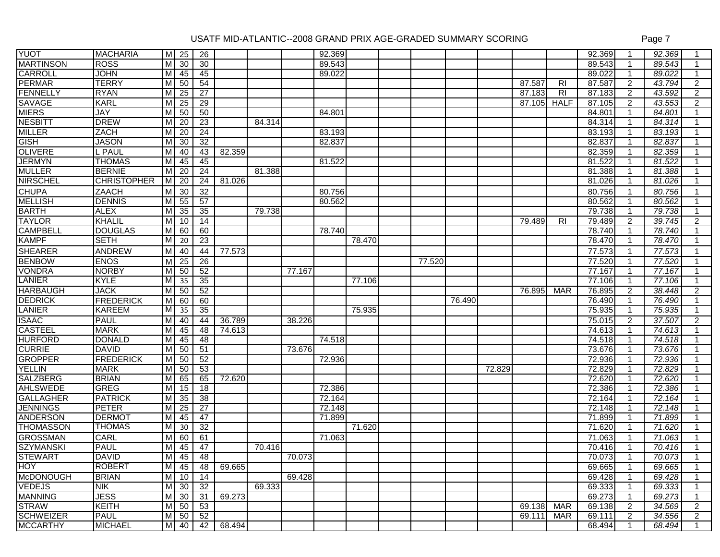| <b>YUOT</b>      | <b>MACHARIA</b>    | M                       | 25              | 26              |        |        |        | 92.369 |        |        |        |        |        |                | 92.369 | -1             | 92.369 |                |
|------------------|--------------------|-------------------------|-----------------|-----------------|--------|--------|--------|--------|--------|--------|--------|--------|--------|----------------|--------|----------------|--------|----------------|
| <b>MARTINSON</b> | <b>ROSS</b>        | $\overline{M}$          | 30              | 30              |        |        |        | 89.543 |        |        |        |        |        |                | 89.543 | -1             | 89.543 |                |
| <b>CARROLL</b>   | JOHN               | м                       | 45              | 45              |        |        |        | 89.022 |        |        |        |        |        |                | 89.022 | $\mathbf{1}$   | 89.022 |                |
| <b>PERMAR</b>    | <b>TERRY</b>       | M                       | 50              | 54              |        |        |        |        |        |        |        |        | 87.587 | R <sub>l</sub> | 87.587 | 2              | 43.794 | $\overline{2}$ |
| <b>FENNELLY</b>  | <b>RYAN</b>        | M                       | 25              | 27              |        |        |        |        |        |        |        |        | 87.183 | R <sub>1</sub> | 87.183 | $\overline{2}$ | 43.592 | $\overline{2}$ |
| <b>SAVAGE</b>    | <b>KARL</b>        | M                       | $\overline{25}$ | 29              |        |        |        |        |        |        |        |        | 87.105 | <b>HALF</b>    | 87.105 | 2              | 43.553 | $\overline{2}$ |
| <b>MIERS</b>     | JAY                | M                       | 50              | 50              |        |        |        | 84.801 |        |        |        |        |        |                | 84.801 | $\mathbf 1$    | 84.801 |                |
| <b>NESBITT</b>   | <b>DREW</b>        | M                       | 20              | 23              |        | 84.314 |        |        |        |        |        |        |        |                | 84.314 | 1              | 84.314 |                |
| <b>MILLER</b>    | ZACH               | м                       | 20              | 24              |        |        |        | 83.193 |        |        |        |        |        |                | 83.193 | $\mathbf 1$    | 83.193 |                |
| <b>GISH</b>      | <b>JASON</b>       | M                       | $\overline{30}$ | 32              |        |        |        | 82.837 |        |        |        |        |        |                | 82.837 | $\mathbf{1}$   | 82.837 |                |
| <b>OLIVERE</b>   | L PAUL             | M                       | 40              | 43              | 82.359 |        |        |        |        |        |        |        |        |                | 82.359 | $\mathbf 1$    | 82.359 |                |
| <b>JERMYN</b>    | <b>THOMAS</b>      | $\overline{\mathsf{M}}$ | 45              | 45              |        |        |        | 81.522 |        |        |        |        |        |                | 81.522 | $\mathbf 1$    | 81.522 |                |
| <b>MULLER</b>    | <b>BERNIE</b>      | M                       | $\overline{20}$ | $\overline{24}$ |        | 81.388 |        |        |        |        |        |        |        |                | 81.388 |                | 81.388 |                |
| <b>NIRSCHEL</b>  | <b>CHRISTOPHER</b> | M                       | $\overline{20}$ | $\overline{24}$ | 81.026 |        |        |        |        |        |        |        |        |                | 81.026 | 1              | 81.026 |                |
| <b>CHUPA</b>     | ZAACH              | M                       | 30              | 32              |        |        |        | 80.756 |        |        |        |        |        |                | 80.756 | -1             | 80.756 |                |
| <b>MELLISH</b>   | <b>DENNIS</b>      | M                       | 55              | 57              |        |        |        | 80.562 |        |        |        |        |        |                | 80.562 | $\mathbf{1}$   | 80.562 |                |
| <b>BARTH</b>     | <b>ALEX</b>        | $\overline{\mathsf{M}}$ | 35              | 35              |        | 79.738 |        |        |        |        |        |        |        |                | 79.738 | $\mathbf{1}$   | 79.738 |                |
| <b>TAYLOR</b>    | KHALIL             | M                       | 10              | 14              |        |        |        |        |        |        |        |        | 79.489 | <b>RI</b>      | 79.489 | 2              | 39.745 | $\overline{2}$ |
| <b>CAMPBELL</b>  | <b>DOUGLAS</b>     | M                       | 60              | 60              |        |        |        | 78.740 |        |        |        |        |        |                | 78.740 | $\mathbf{1}$   | 78.740 |                |
| <b>KAMPF</b>     | <b>SETH</b>        | M                       | 20              | 23              |        |        |        |        | 78.470 |        |        |        |        |                | 78.470 | $\mathbf{1}$   | 78.470 |                |
| <b>SHEARER</b>   | ANDREW             | ${\sf M}$               | 40              | 44              | 77.573 |        |        |        |        |        |        |        |        |                | 77.573 | $\mathbf{1}$   | 77.573 |                |
| <b>BENBOW</b>    | <b>ENOS</b>        | $\overline{M}$          | $\overline{25}$ | 26              |        |        |        |        |        | 77.520 |        |        |        |                | 77.520 | $\mathbf 1$    | 77.520 |                |
| <b>VONDRA</b>    | <b>NORBY</b>       | $\overline{\mathsf{M}}$ | 50              | 52              |        |        | 77.167 |        |        |        |        |        |        |                | 77.167 | $\mathbf 1$    | 77.167 |                |
| LANIER           | <b>KYLE</b>        | M                       | 35              | 35              |        |        |        |        | 77.106 |        |        |        |        |                | 77.106 | -1             | 77.106 |                |
| <b>HARBAUGH</b>  | <b>JACK</b>        | M                       | 50              | 52              |        |        |        |        |        |        |        |        | 76.895 | <b>MAR</b>     | 76.895 | $\overline{2}$ | 38.448 | $\overline{2}$ |
| <b>DEDRICK</b>   | <b>FREDERICK</b>   | M                       | 60              | 60              |        |        |        |        |        |        | 76.490 |        |        |                | 76.490 | 1              | 76.490 |                |
| LANIER           | <b>KAREEM</b>      | M                       | $\overline{35}$ | 35              |        |        |        |        | 75.935 |        |        |        |        |                | 75.935 | $\mathbf{1}$   | 75.935 |                |
| <b>ISAAC</b>     | <b>PAUL</b>        | $\overline{M}$          | 40              | 44              | 36.789 |        | 38.226 |        |        |        |        |        |        |                | 75.015 | 2              | 37.507 | $\overline{2}$ |
| <b>CASTEEL</b>   | <b>MARK</b>        | M                       | 45              | 48              | 74.613 |        |        |        |        |        |        |        |        |                | 74.613 | $\mathbf 1$    | 74.613 |                |
| <b>HURFORD</b>   | <b>DONALD</b>      | M                       | 45              | 48              |        |        |        | 74.518 |        |        |        |        |        |                | 74.518 | $\mathbf 1$    | 74.518 |                |
| <b>CURRIE</b>    | <b>DAVID</b>       | $\overline{M}$          | 50              | 51              |        |        | 73.676 |        |        |        |        |        |        |                | 73.676 | $\mathbf{1}$   | 73.676 |                |
| <b>GROPPER</b>   | <b>FREDERICK</b>   | $\overline{M}$          | 50              | 52              |        |        |        | 72.936 |        |        |        |        |        |                | 72.936 | -1             | 72.936 |                |
| <b>YELLIN</b>    | <b>MARK</b>        | $\overline{M}$          | 50              | 53              |        |        |        |        |        |        |        | 72.829 |        |                | 72.829 | -1             | 72.829 |                |
| <b>SALZBERG</b>  | <b>BRIAN</b>       | $\overline{M}$          | 65              | 65              | 72.620 |        |        |        |        |        |        |        |        |                | 72.620 | 1              | 72.620 |                |
| <b>AHLSWEDE</b>  | <b>GREG</b>        | M                       | 15              | 18              |        |        |        | 72.386 |        |        |        |        |        |                | 72.386 | 1              | 72.386 |                |
| <b>GALLAGHER</b> | <b>PATRICK</b>     | $\overline{M}$          | 35              | $\overline{38}$ |        |        |        | 72.164 |        |        |        |        |        |                | 72.164 | $\mathbf{1}$   | 72.164 |                |
| <b>JENNINGS</b>  | <b>PETER</b>       | M                       | 25              | 27              |        |        |        | 72.148 |        |        |        |        |        |                | 72.148 | $\mathbf 1$    | 72.148 |                |
| <b>ANDERSON</b>  | <b>DERMOT</b>      | M                       | 45              | 47              |        |        |        | 71.899 |        |        |        |        |        |                | 71.899 | $\mathbf 1$    | 71.899 |                |
| <b>THOMASSON</b> | THOMAS             | М                       | 30              | 32              |        |        |        |        | 71.620 |        |        |        |        |                | 71.620 | 1              | 71.620 |                |
| <b>GROSSMAN</b>  | CARL               | M                       | 60              | 61              |        |        |        | 71.063 |        |        |        |        |        |                | 71.063 | $\mathbf{1}$   | 71.063 |                |
| <b>SZYMANSKI</b> | <b>PAUL</b>        | M                       | 45              | 47              |        | 70.416 |        |        |        |        |        |        |        |                | 70.416 | $\mathbf{1}$   | 70.416 |                |
| <b>STEWART</b>   | <b>DAVID</b>       | M                       | 45              | $\overline{48}$ |        |        | 70.073 |        |        |        |        |        |        |                | 70.073 | $\overline{1}$ | 70.073 | $\mathbf{1}$   |
| <b>HOY</b>       | <b>ROBERT</b>      | M                       | 45              | 48              | 69.665 |        |        |        |        |        |        |        |        |                | 69.665 | $\mathbf 1$    | 69.665 | -1             |
| <b>McDONOUGH</b> | <b>BRIAN</b>       | M                       | 10              | 14              |        |        | 69.428 |        |        |        |        |        |        |                | 69.428 | -1             | 69.428 |                |
| <b>VEDEJS</b>    | <b>NIK</b>         |                         | $M$ 30          | 32              |        | 69.333 |        |        |        |        |        |        |        |                | 69.333 | $\mathbf{1}$   | 69.333 |                |
| <b>MANNING</b>   | <b>JESS</b>        |                         | $M$ 30          | 31              | 69.273 |        |        |        |        |        |        |        |        |                | 69.273 | $\mathbf 1$    | 69.273 |                |
| <b>STRAW</b>     | <b>KEITH</b>       |                         | $M$ 50          | 53              |        |        |        |        |        |        |        |        | 69.138 | <b>MAR</b>     | 69.138 | 2              | 34.569 | $\overline{2}$ |
| <b>SCHWEIZER</b> | <b>PAUL</b>        |                         | $M$ 50          | 52              |        |        |        |        |        |        |        |        | 69.111 | <b>MAR</b>     | 69.111 | $\overline{2}$ | 34.556 | $\overline{2}$ |
| <b>MCCARTHY</b>  | <b>MICHAEL</b>     |                         | $M$ 40          | 42              | 68.494 |        |        |        |        |        |        |        |        |                | 68.494 | $\mathbf{1}$   | 68.494 | $\mathbf{1}$   |